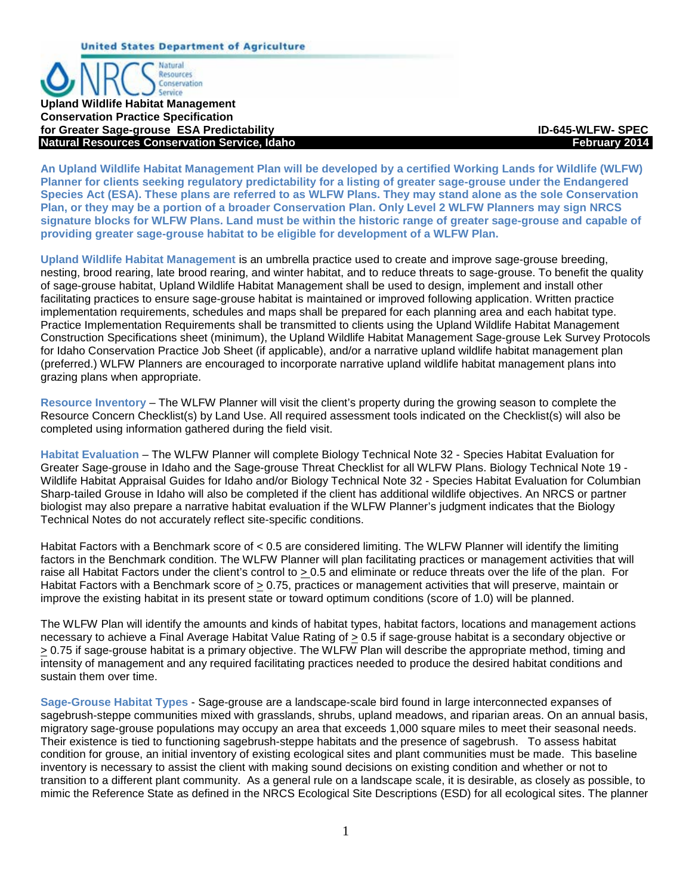Conservation Service **Upland Wildlife Habitat Management Conservation Practice Specification for Greater Sage-grouse ESA Predictability ID-645-WLFW- SPEC Natural Resources Conservation Service, Idaho** *February 2014* **February 2014** 

**Natural** Resources

**An Upland Wildlife Habitat Management Plan will be developed by a certified Working Lands for Wildlife (WLFW) Planner for clients seeking regulatory predictability for a listing of greater sage-grouse under the Endangered Species Act (ESA). These plans are referred to as WLFW Plans. They may stand alone as the sole Conservation Plan, or they may be a portion of a broader Conservation Plan. Only Level 2 WLFW Planners may sign NRCS signature blocks for WLFW Plans. Land must be within the historic range of greater sage-grouse and capable of providing greater sage-grouse habitat to be eligible for development of a WLFW Plan.**

**Upland Wildlife Habitat Management** is an umbrella practice used to create and improve sage-grouse breeding, nesting, brood rearing, late brood rearing, and winter habitat, and to reduce threats to sage-grouse. To benefit the quality of sage-grouse habitat, Upland Wildlife Habitat Management shall be used to design, implement and install other facilitating practices to ensure sage-grouse habitat is maintained or improved following application. Written practice implementation requirements, schedules and maps shall be prepared for each planning area and each habitat type. Practice Implementation Requirements shall be transmitted to clients using the Upland Wildlife Habitat Management Construction Specifications sheet (minimum), the Upland Wildlife Habitat Management Sage-grouse Lek Survey Protocols for Idaho Conservation Practice Job Sheet (if applicable), and/or a narrative upland wildlife habitat management plan (preferred.) WLFW Planners are encouraged to incorporate narrative upland wildlife habitat management plans into grazing plans when appropriate.

**Resource Inventory** – The WLFW Planner will visit the client's property during the growing season to complete the Resource Concern Checklist(s) by Land Use. All required assessment tools indicated on the Checklist(s) will also be completed using information gathered during the field visit.

**Habitat Evaluation** – The WLFW Planner will complete Biology Technical Note 32 - Species Habitat Evaluation for Greater Sage-grouse in Idaho and the Sage-grouse Threat Checklist for all WLFW Plans. Biology Technical Note 19 -Wildlife Habitat Appraisal Guides for Idaho and/or Biology Technical Note 32 - Species Habitat Evaluation for Columbian Sharp-tailed Grouse in Idaho will also be completed if the client has additional wildlife objectives. An NRCS or partner biologist may also prepare a narrative habitat evaluation if the WLFW Planner's judgment indicates that the Biology Technical Notes do not accurately reflect site-specific conditions.

Habitat Factors with a Benchmark score of < 0.5 are considered limiting. The WLFW Planner will identify the limiting factors in the Benchmark condition. The WLFW Planner will plan facilitating practices or management activities that will raise all Habitat Factors under the client's control to > 0.5 and eliminate or reduce threats over the life of the plan. For Habitat Factors with a Benchmark score of > 0.75, practices or management activities that will preserve, maintain or improve the existing habitat in its present state or toward optimum conditions (score of 1.0) will be planned.

The WLFW Plan will identify the amounts and kinds of habitat types, habitat factors, locations and management actions necessary to achieve a Final Average Habitat Value Rating of > 0.5 if sage-grouse habitat is a secondary objective or > 0.75 if sage-grouse habitat is a primary objective. The WLFW Plan will describe the appropriate method, timing and intensity of management and any required facilitating practices needed to produce the desired habitat conditions and sustain them over time.

**Sage-Grouse Habitat Types** - Sage-grouse are a landscape-scale bird found in large interconnected expanses of sagebrush-steppe communities mixed with grasslands, shrubs, upland meadows, and riparian areas. On an annual basis, migratory sage-grouse populations may occupy an area that exceeds 1,000 square miles to meet their seasonal needs. Their existence is tied to functioning sagebrush-steppe habitats and the presence of sagebrush. To assess habitat condition for grouse, an initial inventory of existing ecological sites and plant communities must be made. This baseline inventory is necessary to assist the client with making sound decisions on existing condition and whether or not to transition to a different plant community. As a general rule on a landscape scale, it is desirable, as closely as possible, to mimic the Reference State as defined in the NRCS Ecological Site Descriptions (ESD) for all ecological sites. The planner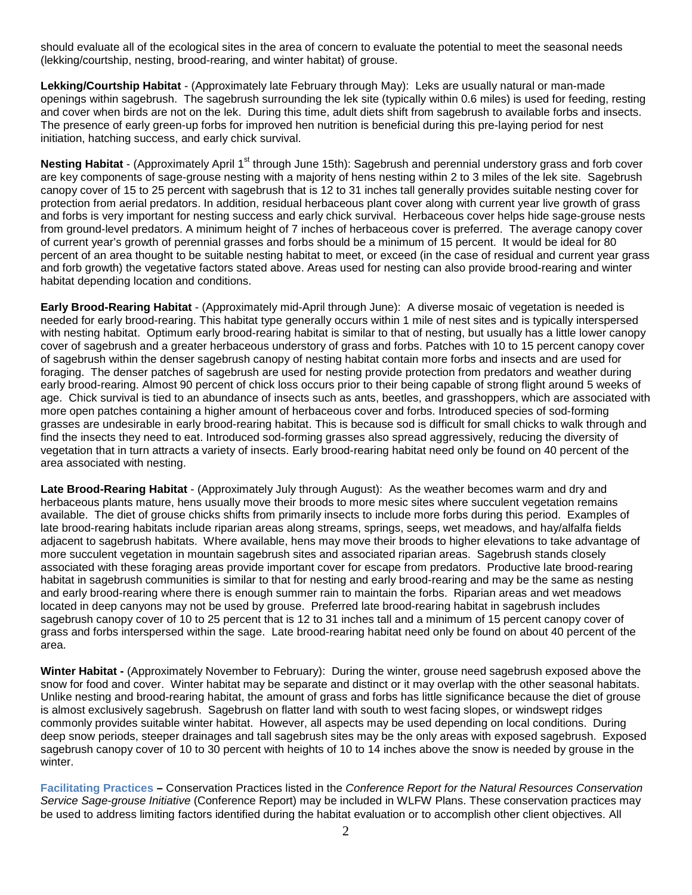should evaluate all of the ecological sites in the area of concern to evaluate the potential to meet the seasonal needs (lekking/courtship, nesting, brood-rearing, and winter habitat) of grouse.

**Lekking/Courtship Habitat** - (Approximately late February through May): Leks are usually natural or man-made openings within sagebrush. The sagebrush surrounding the lek site (typically within 0.6 miles) is used for feeding, resting and cover when birds are not on the lek. During this time, adult diets shift from sagebrush to available forbs and insects. The presence of early green-up forbs for improved hen nutrition is beneficial during this pre-laying period for nest initiation, hatching success, and early chick survival.

**Nesting Habitat** - (Approximately April 1<sup>st</sup> through June 15th): Sagebrush and perennial understory grass and forb cover are key components of sage-grouse nesting with a majority of hens nesting within 2 to 3 miles of the lek site. Sagebrush canopy cover of 15 to 25 percent with sagebrush that is 12 to 31 inches tall generally provides suitable nesting cover for protection from aerial predators. In addition, residual herbaceous plant cover along with current year live growth of grass and forbs is very important for nesting success and early chick survival. Herbaceous cover helps hide sage-grouse nests from ground-level predators. A minimum height of 7 inches of herbaceous cover is preferred. The average canopy cover of current year's growth of perennial grasses and forbs should be a minimum of 15 percent. It would be ideal for 80 percent of an area thought to be suitable nesting habitat to meet, or exceed (in the case of residual and current year grass and forb growth) the vegetative factors stated above. Areas used for nesting can also provide brood-rearing and winter habitat depending location and conditions.

**Early Brood-Rearing Habitat** - (Approximately mid-April through June): A diverse mosaic of vegetation is needed is needed for early brood-rearing. This habitat type generally occurs within 1 mile of nest sites and is typically interspersed with nesting habitat. Optimum early brood-rearing habitat is similar to that of nesting, but usually has a little lower canopy cover of sagebrush and a greater herbaceous understory of grass and forbs. Patches with 10 to 15 percent canopy cover of sagebrush within the denser sagebrush canopy of nesting habitat contain more forbs and insects and are used for foraging. The denser patches of sagebrush are used for nesting provide protection from predators and weather during early brood-rearing. Almost 90 percent of chick loss occurs prior to their being capable of strong flight around 5 weeks of age. Chick survival is tied to an abundance of insects such as ants, beetles, and grasshoppers, which are associated with more open patches containing a higher amount of herbaceous cover and forbs. Introduced species of sod-forming grasses are undesirable in early brood-rearing habitat. This is because sod is difficult for small chicks to walk through and find the insects they need to eat. Introduced sod-forming grasses also spread aggressively, reducing the diversity of vegetation that in turn attracts a variety of insects. Early brood-rearing habitat need only be found on 40 percent of the area associated with nesting.

**Late Brood-Rearing Habitat** - (Approximately July through August): As the weather becomes warm and dry and herbaceous plants mature, hens usually move their broods to more mesic sites where succulent vegetation remains available. The diet of grouse chicks shifts from primarily insects to include more forbs during this period. Examples of late brood-rearing habitats include riparian areas along streams, springs, seeps, wet meadows, and hay/alfalfa fields adjacent to sagebrush habitats. Where available, hens may move their broods to higher elevations to take advantage of more succulent vegetation in mountain sagebrush sites and associated riparian areas. Sagebrush stands closely associated with these foraging areas provide important cover for escape from predators. Productive late brood-rearing habitat in sagebrush communities is similar to that for nesting and early brood-rearing and may be the same as nesting and early brood-rearing where there is enough summer rain to maintain the forbs. Riparian areas and wet meadows located in deep canyons may not be used by grouse. Preferred late brood-rearing habitat in sagebrush includes sagebrush canopy cover of 10 to 25 percent that is 12 to 31 inches tall and a minimum of 15 percent canopy cover of grass and forbs interspersed within the sage. Late brood-rearing habitat need only be found on about 40 percent of the area.

**Winter Habitat -** (Approximately November to February): During the winter, grouse need sagebrush exposed above the snow for food and cover. Winter habitat may be separate and distinct or it may overlap with the other seasonal habitats. Unlike nesting and brood-rearing habitat, the amount of grass and forbs has little significance because the diet of grouse is almost exclusively sagebrush. Sagebrush on flatter land with south to west facing slopes, or windswept ridges commonly provides suitable winter habitat. However, all aspects may be used depending on local conditions. During deep snow periods, steeper drainages and tall sagebrush sites may be the only areas with exposed sagebrush. Exposed sagebrush canopy cover of 10 to 30 percent with heights of 10 to 14 inches above the snow is needed by grouse in the winter.

**Facilitating Practices –** Conservation Practices listed in the *Conference Report for the Natural Resources Conservation Service Sage-grouse Initiative* (Conference Report) may be included in WLFW Plans. These conservation practices may be used to address limiting factors identified during the habitat evaluation or to accomplish other client objectives. All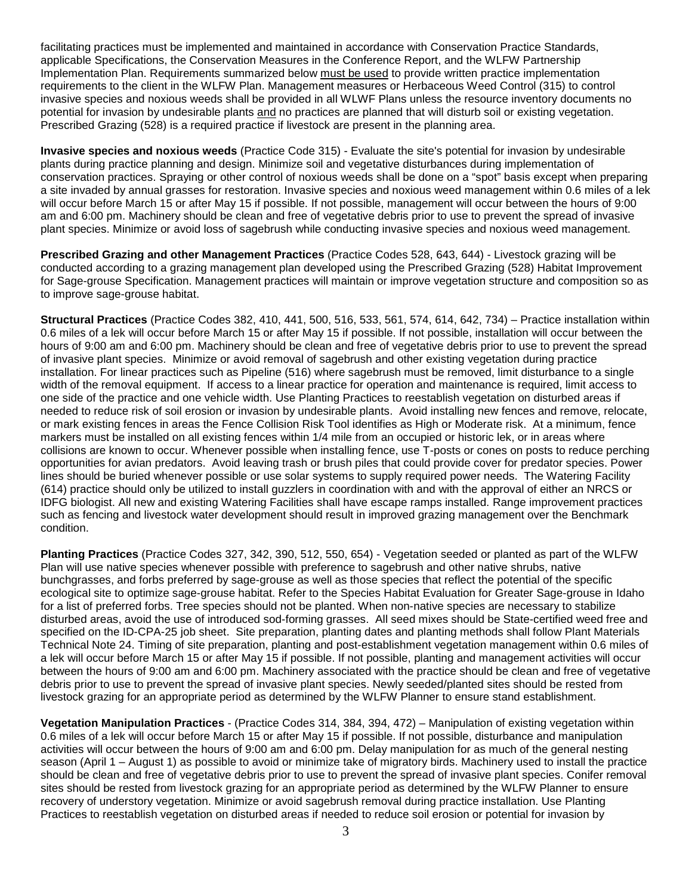facilitating practices must be implemented and maintained in accordance with Conservation Practice Standards, applicable Specifications, the Conservation Measures in the Conference Report, and the WLFW Partnership Implementation Plan. Requirements summarized below must be used to provide written practice implementation requirements to the client in the WLFW Plan. Management measures or Herbaceous Weed Control (315) to control invasive species and noxious weeds shall be provided in all WLWF Plans unless the resource inventory documents no potential for invasion by undesirable plants and no practices are planned that will disturb soil or existing vegetation. Prescribed Grazing (528) is a required practice if livestock are present in the planning area.

**Invasive species and noxious weeds** (Practice Code 315) - Evaluate the site's potential for invasion by undesirable plants during practice planning and design. Minimize soil and vegetative disturbances during implementation of conservation practices. Spraying or other control of noxious weeds shall be done on a "spot" basis except when preparing a site invaded by annual grasses for restoration. Invasive species and noxious weed management within 0.6 miles of a lek will occur before March 15 or after May 15 if possible. If not possible, management will occur between the hours of 9:00 am and 6:00 pm. Machinery should be clean and free of vegetative debris prior to use to prevent the spread of invasive plant species. Minimize or avoid loss of sagebrush while conducting invasive species and noxious weed management.

**Prescribed Grazing and other Management Practices** (Practice Codes 528, 643, 644) - Livestock grazing will be conducted according to a grazing management plan developed using the Prescribed Grazing (528) Habitat Improvement for Sage-grouse Specification. Management practices will maintain or improve vegetation structure and composition so as to improve sage-grouse habitat.

**Structural Practices** (Practice Codes 382, 410, 441, 500, 516, 533, 561, 574, 614, 642, 734) – Practice installation within 0.6 miles of a lek will occur before March 15 or after May 15 if possible. If not possible, installation will occur between the hours of 9:00 am and 6:00 pm. Machinery should be clean and free of vegetative debris prior to use to prevent the spread of invasive plant species. Minimize or avoid removal of sagebrush and other existing vegetation during practice installation. For linear practices such as Pipeline (516) where sagebrush must be removed, limit disturbance to a single width of the removal equipment. If access to a linear practice for operation and maintenance is required, limit access to one side of the practice and one vehicle width. Use Planting Practices to reestablish vegetation on disturbed areas if needed to reduce risk of soil erosion or invasion by undesirable plants. Avoid installing new fences and remove, relocate, or mark existing fences in areas the Fence Collision Risk Tool identifies as High or Moderate risk. At a minimum, fence markers must be installed on all existing fences within 1/4 mile from an occupied or historic lek, or in areas where collisions are known to occur. Whenever possible when installing fence, use T-posts or cones on posts to reduce perching opportunities for avian predators. Avoid leaving trash or brush piles that could provide cover for predator species. Power lines should be buried whenever possible or use solar systems to supply required power needs. The Watering Facility (614) practice should only be utilized to install guzzlers in coordination with and with the approval of either an NRCS or IDFG biologist. All new and existing Watering Facilities shall have escape ramps installed. Range improvement practices such as fencing and livestock water development should result in improved grazing management over the Benchmark condition.

**Planting Practices** (Practice Codes 327, 342, 390, 512, 550, 654) - Vegetation seeded or planted as part of the WLFW Plan will use native species whenever possible with preference to sagebrush and other native shrubs, native bunchgrasses, and forbs preferred by sage-grouse as well as those species that reflect the potential of the specific ecological site to optimize sage-grouse habitat. Refer to the Species Habitat Evaluation for Greater Sage-grouse in Idaho for a list of preferred forbs. Tree species should not be planted. When non-native species are necessary to stabilize disturbed areas, avoid the use of introduced sod-forming grasses. All seed mixes should be State-certified weed free and specified on the ID-CPA-25 job sheet. Site preparation, planting dates and planting methods shall follow Plant Materials Technical Note 24. Timing of site preparation, planting and post-establishment vegetation management within 0.6 miles of a lek will occur before March 15 or after May 15 if possible. If not possible, planting and management activities will occur between the hours of 9:00 am and 6:00 pm. Machinery associated with the practice should be clean and free of vegetative debris prior to use to prevent the spread of invasive plant species. Newly seeded/planted sites should be rested from livestock grazing for an appropriate period as determined by the WLFW Planner to ensure stand establishment.

**Vegetation Manipulation Practices** - (Practice Codes 314, 384, 394, 472) – Manipulation of existing vegetation within 0.6 miles of a lek will occur before March 15 or after May 15 if possible. If not possible, disturbance and manipulation activities will occur between the hours of 9:00 am and 6:00 pm. Delay manipulation for as much of the general nesting season (April 1 – August 1) as possible to avoid or minimize take of migratory birds. Machinery used to install the practice should be clean and free of vegetative debris prior to use to prevent the spread of invasive plant species. Conifer removal sites should be rested from livestock grazing for an appropriate period as determined by the WLFW Planner to ensure recovery of understory vegetation. Minimize or avoid sagebrush removal during practice installation. Use Planting Practices to reestablish vegetation on disturbed areas if needed to reduce soil erosion or potential for invasion by